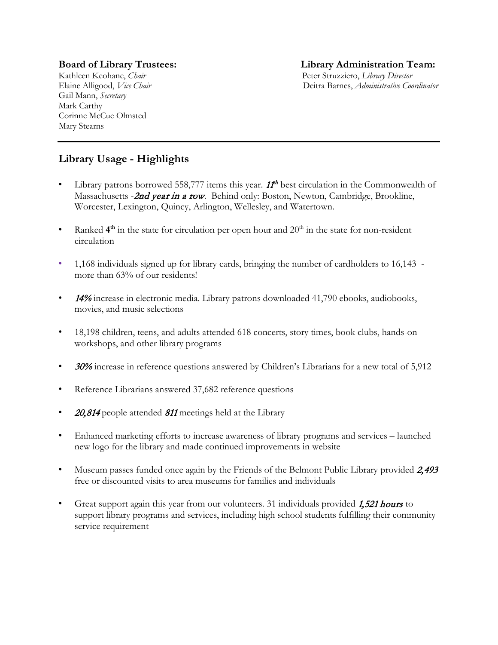Gail Mann, *Secretary* Mark Carthy Corinne McCue Olmsted Mary Stearns

# **Board of Library Trustees: Library Administration Team:**

Kathleen Keohane, *Chair* Peter Struzziero, *Library Director* Elaine Alligood, *Vice Chair* Deitra Barnes, *Administrative Coordinator*

# **Library Usage - Highlights**

- Library patrons borrowed 558,777 items this year.  $11<sup>th</sup>$  best circulation in the Commonwealth of Massachusetts - 2nd year in a row. Behind only: Boston, Newton, Cambridge, Brookline, Worcester, Lexington, Quincy, Arlington, Wellesley, and Watertown.
- Ranked  $4<sup>th</sup>$  in the state for circulation per open hour and  $20<sup>th</sup>$  in the state for non-resident circulation
- 1,168 individuals signed up for library cards, bringing the number of cardholders to 16,143 more than 63% of our residents!
- 14% increase in electronic media. Library patrons downloaded 41,790 ebooks, audiobooks, movies, and music selections
- 18,198 children, teens, and adults attended 618 concerts, story times, book clubs, hands-on workshops, and other library programs
- 30% increase in reference questions answered by Children's Librarians for a new total of 5,912
- Reference Librarians answered 37,682 reference questions
- 20,814 people attended <sup>811</sup> meetings held at the Library
- Enhanced marketing efforts to increase awareness of library programs and services launched new logo for the library and made continued improvements in website
- Museum passes funded once again by the Friends of the Belmont Public Library provided 2,493 free or discounted visits to area museums for families and individuals
- Great support again this year from our volunteers. 31 individuals provided 1,521 hours to support library programs and services, including high school students fulfilling their community service requirement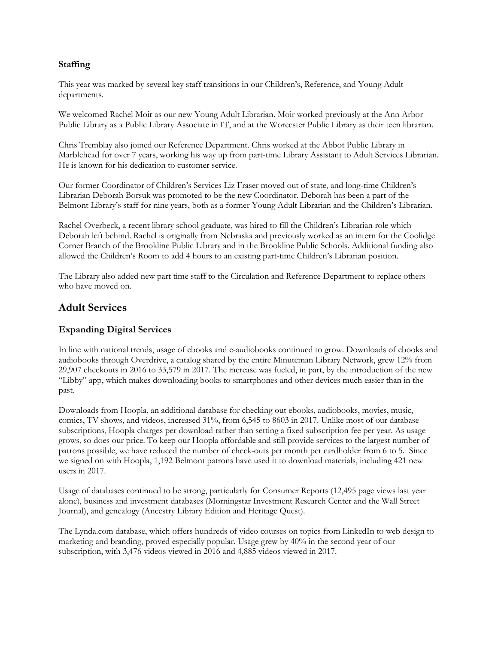#### **Staffing**

This year was marked by several key staff transitions in our Children's, Reference, and Young Adult departments.

We welcomed Rachel Moir as our new Young Adult Librarian. Moir worked previously at the Ann Arbor Public Library as a Public Library Associate in IT, and at the Worcester Public Library as their teen librarian.

Chris Tremblay also joined our Reference Department. Chris worked at the Abbot Public Library in Marblehead for over 7 years, working his way up from part-time Library Assistant to Adult Services Librarian. He is known for his dedication to customer service.

Our former Coordinator of Children's Services Liz Fraser moved out of state, and long-time Children's Librarian Deborah Borsuk was promoted to be the new Coordinator. Deborah has been a part of the Belmont Library's staff for nine years, both as a former Young Adult Librarian and the Children's Librarian.

Rachel Overbeck, a recent library school graduate, was hired to fill the Children's Librarian role which Deborah left behind. Rachel is originally from Nebraska and previously worked as an intern for the Coolidge Corner Branch of the Brookline Public Library and in the Brookline Public Schools. Additional funding also allowed the Children's Room to add 4 hours to an existing part-time Children's Librarian position.

The Library also added new part time staff to the Circulation and Reference Department to replace others who have moved on.

# **Adult Services**

## **Expanding Digital Services**

In line with national trends, usage of ebooks and e-audiobooks continued to grow. Downloads of ebooks and audiobooks through Overdrive, a catalog shared by the entire Minuteman Library Network, grew 12% from 29,907 checkouts in 2016 to 33,579 in 2017. The increase was fueled, in part, by the introduction of the new "Libby" app, which makes downloading books to smartphones and other devices much easier than in the past.

Downloads from Hoopla, an additional database for checking out ebooks, audiobooks, movies, music, comics, TV shows, and videos, increased 31%, from 6,545 to 8603 in 2017. Unlike most of our database subscriptions, Hoopla charges per download rather than setting a fixed subscription fee per year. As usage grows, so does our price. To keep our Hoopla affordable and still provide services to the largest number of patrons possible, we have reduced the number of check-outs per month per cardholder from 6 to 5. Since we signed on with Hoopla, 1,192 Belmont patrons have used it to download materials, including 421 new users in 2017.

Usage of databases continued to be strong, particularly for Consumer Reports (12,495 page views last year alone), business and investment databases (Morningstar Investment Research Center and the Wall Street Journal), and genealogy (Ancestry Library Edition and Heritage Quest).

The Lynda.com database, which offers hundreds of video courses on topics from LinkedIn to web design to marketing and branding, proved especially popular. Usage grew by 40% in the second year of our subscription, with 3,476 videos viewed in 2016 and 4,885 videos viewed in 2017.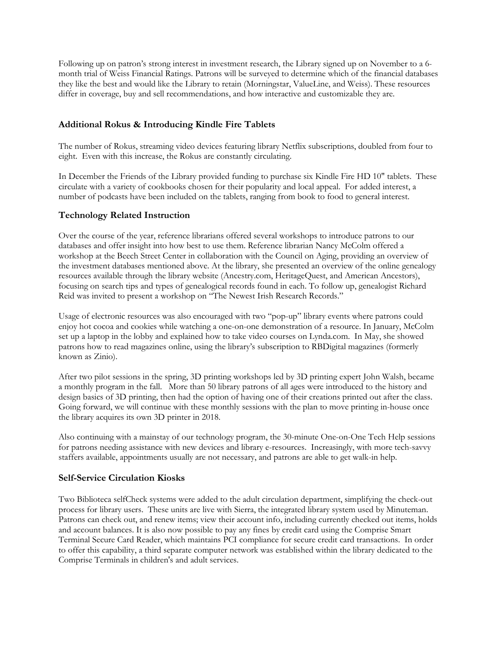Following up on patron's strong interest in investment research, the Library signed up on November to a 6 month trial of Weiss Financial Ratings. Patrons will be surveyed to determine which of the financial databases they like the best and would like the Library to retain (Morningstar, ValueLine, and Weiss). These resources differ in coverage, buy and sell recommendations, and how interactive and customizable they are.

## **Additional Rokus & Introducing Kindle Fire Tablets**

The number of Rokus, streaming video devices featuring library Netflix subscriptions, doubled from four to eight. Even with this increase, the Rokus are constantly circulating.

In December the Friends of the Library provided funding to purchase six Kindle Fire HD 10" tablets. These circulate with a variety of cookbooks chosen for their popularity and local appeal. For added interest, a number of podcasts have been included on the tablets, ranging from book to food to general interest.

#### **Technology Related Instruction**

Over the course of the year, reference librarians offered several workshops to introduce patrons to our databases and offer insight into how best to use them. Reference librarian Nancy McColm offered a workshop at the Beech Street Center in collaboration with the Council on Aging, providing an overview of the investment databases mentioned above. At the library, she presented an overview of the online genealogy resources available through the library website (Ancestry.com, HeritageQuest, and American Ancestors), focusing on search tips and types of genealogical records found in each. To follow up, genealogist Richard Reid was invited to present a workshop on "The Newest Irish Research Records."

Usage of electronic resources was also encouraged with two "pop-up" library events where patrons could enjoy hot cocoa and cookies while watching a one-on-one demonstration of a resource. In January, McColm set up a laptop in the lobby and explained how to take video courses on Lynda.com. In May, she showed patrons how to read magazines online, using the library's subscription to RBDigital magazines (formerly known as Zinio).

After two pilot sessions in the spring, 3D printing workshops led by 3D printing expert John Walsh, became a monthly program in the fall. More than 50 library patrons of all ages were introduced to the history and design basics of 3D printing, then had the option of having one of their creations printed out after the class. Going forward, we will continue with these monthly sessions with the plan to move printing in-house once the library acquires its own 3D printer in 2018.

Also continuing with a mainstay of our technology program, the 30-minute One-on-One Tech Help sessions for patrons needing assistance with new devices and library e-resources. Increasingly, with more tech-savvy staffers available, appointments usually are not necessary, and patrons are able to get walk-in help.

## **Self-Service Circulation Kiosks**

Two Biblioteca selfCheck systems were added to the adult circulation department, simplifying the check-out process for library users. These units are live with Sierra, the integrated library system used by Minuteman. Patrons can check out, and renew items; view their account info, including currently checked out items, holds and account balances. It is also now possible to pay any fines by credit card using the Comprise Smart Terminal Secure Card Reader, which maintains PCI compliance for secure credit card transactions. In order to offer this capability, a third separate computer network was established within the library dedicated to the Comprise Terminals in children's and adult services.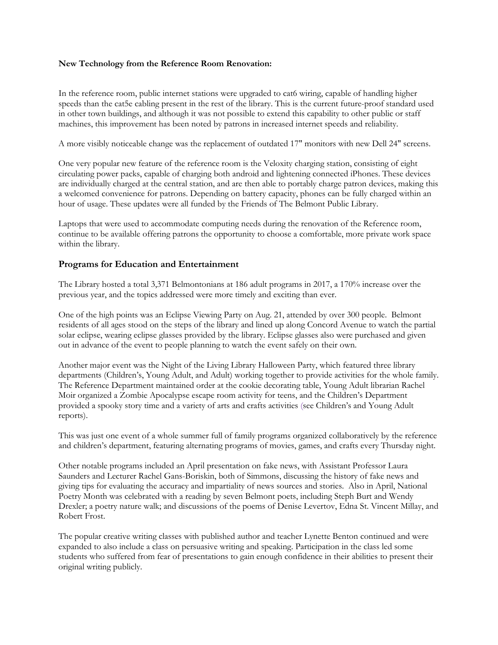#### **New Technology from the Reference Room Renovation:**

In the reference room, public internet stations were upgraded to cat6 wiring, capable of handling higher speeds than the cat5e cabling present in the rest of the library. This is the current future-proof standard used in other town buildings, and although it was not possible to extend this capability to other public or staff machines, this improvement has been noted by patrons in increased internet speeds and reliability.

A more visibly noticeable change was the replacement of outdated 17" monitors with new Dell 24" screens.

One very popular new feature of the reference room is the Veloxity charging station, consisting of eight circulating power packs, capable of charging both android and lightening connected iPhones. These devices are individually charged at the central station, and are then able to portably charge patron devices, making this a welcomed convenience for patrons. Depending on battery capacity, phones can be fully charged within an hour of usage. These updates were all funded by the Friends of The Belmont Public Library.

Laptops that were used to accommodate computing needs during the renovation of the Reference room, continue to be available offering patrons the opportunity to choose a comfortable, more private work space within the library.

#### **Programs for Education and Entertainment**

The Library hosted a total 3,371 Belmontonians at 186 adult programs in 2017, a 170% increase over the previous year, and the topics addressed were more timely and exciting than ever.

One of the high points was an Eclipse Viewing Party on Aug. 21, attended by over 300 people. Belmont residents of all ages stood on the steps of the library and lined up along Concord Avenue to watch the partial solar eclipse, wearing eclipse glasses provided by the library. Eclipse glasses also were purchased and given out in advance of the event to people planning to watch the event safely on their own.

Another major event was the Night of the Living Library Halloween Party, which featured three library departments (Children's, Young Adult, and Adult) working together to provide activities for the whole family. The Reference Department maintained order at the cookie decorating table, Young Adult librarian Rachel Moir organized a Zombie Apocalypse escape room activity for teens, and the Children's Department provided a spooky story time and a variety of arts and crafts activities (see Children's and Young Adult reports).

This was just one event of a whole summer full of family programs organized collaboratively by the reference and children's department, featuring alternating programs of movies, games, and crafts every Thursday night.

Other notable programs included an April presentation on fake news, with Assistant Professor Laura Saunders and Lecturer Rachel Gans-Boriskin, both of Simmons, discussing the history of fake news and giving tips for evaluating the accuracy and impartiality of news sources and stories. Also in April, National Poetry Month was celebrated with a reading by seven Belmont poets, including Steph Burt and Wendy Drexler; a poetry nature walk; and discussions of the poems of Denise Levertov, Edna St. Vincent Millay, and Robert Frost.

The popular creative writing classes with published author and teacher Lynette Benton continued and were expanded to also include a class on persuasive writing and speaking. Participation in the class led some students who suffered from fear of presentations to gain enough confidence in their abilities to present their original writing publicly.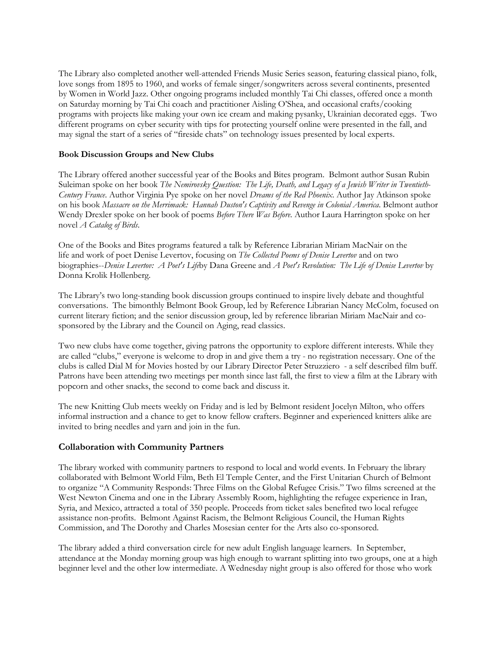The Library also completed another well-attended Friends Music Series season, featuring classical piano, folk, love songs from 1895 to 1960, and works of female singer/songwriters across several continents, presented by Women in World Jazz. Other ongoing programs included monthly Tai Chi classes, offered once a month on Saturday morning by Tai Chi coach and practitioner Aisling O'Shea, and occasional crafts/cooking programs with projects like making your own ice cream and making pysanky, Ukrainian decorated eggs. Two different programs on cyber security with tips for protecting yourself online were presented in the fall, and may signal the start of a series of "fireside chats" on technology issues presented by local experts.

#### **Book Discussion Groups and New Clubs**

The Library offered another successful year of the Books and Bites program. Belmont author Susan Rubin Suleiman spoke on her book *The Nemirovsky Question: The Life, Death, and Legacy of a Jewish Writer in Twentieth-Century France*. Author Virginia Pye spoke on her novel *Dreams of the Red Phoenix*. Author Jay Atkinson spoke on his book *Massacre on the Merrimack: Hannah Duston's Captivity and Revenge in Colonial America*. Belmont author Wendy Drexler spoke on her book of poems *Before There Was Before*. Author Laura Harrington spoke on her novel *A Catalog of Birds*.

One of the Books and Bites programs featured a talk by Reference Librarian Miriam MacNair on the life and work of poet Denise Levertov, focusing on *The Collected Poems of Denise Levertov* and on two biographies--*Denise Levertov: A Poet's Life*by Dana Greene and *A Poet's Revolution: The Life of Denise Levertov* by Donna Krolik Hollenberg.

The Library's two long-standing book discussion groups continued to inspire lively debate and thoughtful conversations. The bimonthly Belmont Book Group, led by Reference Librarian Nancy McColm, focused on current literary fiction; and the senior discussion group, led by reference librarian Miriam MacNair and cosponsored by the Library and the Council on Aging, read classics.

Two new clubs have come together, giving patrons the opportunity to explore different interests. While they are called "clubs," everyone is welcome to drop in and give them a try - no registration necessary. One of the clubs is called Dial M for Movies hosted by our Library Director Peter Struzziero - a self described film buff. Patrons have been attending two meetings per month since last fall, the first to view a film at the Library with popcorn and other snacks, the second to come back and discuss it.

The new Knitting Club meets weekly on Friday and is led by Belmont resident Jocelyn Milton, who offers informal instruction and a chance to get to know fellow crafters. Beginner and experienced knitters alike are invited to bring needles and yarn and join in the fun.

#### **Collaboration with Community Partners**

The library worked with community partners to respond to local and world events. In February the library collaborated with Belmont World Film, Beth El Temple Center, and the First Unitarian Church of Belmont to organize "A Community Responds: Three Films on the Global Refugee Crisis." Two films screened at the West Newton Cinema and one in the Library Assembly Room, highlighting the refugee experience in Iran, Syria, and Mexico, attracted a total of 350 people. Proceeds from ticket sales benefited two local refugee assistance non-profits. Belmont Against Racism, the Belmont Religious Council, the Human Rights Commission, and The Dorothy and Charles Mosesian center for the Arts also co-sponsored.

The library added a third conversation circle for new adult English language learners. In September, attendance at the Monday morning group was high enough to warrant splitting into two groups, one at a high beginner level and the other low intermediate. A Wednesday night group is also offered for those who work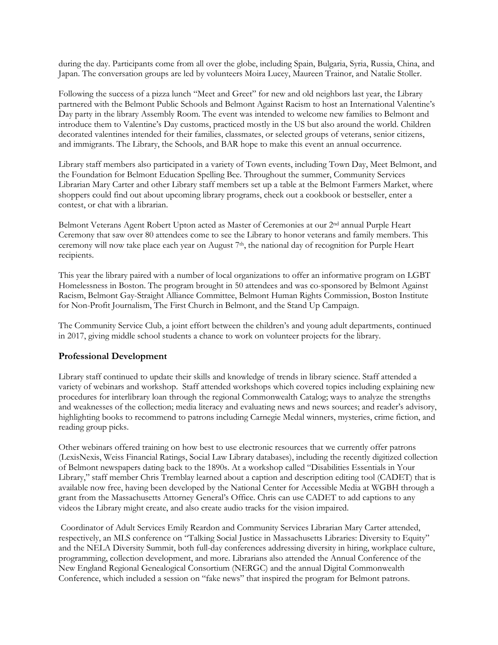during the day. Participants come from all over the globe, including Spain, Bulgaria, Syria, Russia, China, and Japan. The conversation groups are led by volunteers Moira Lucey, Maureen Trainor, and Natalie Stoller.

Following the success of a pizza lunch "Meet and Greet" for new and old neighbors last year, the Library partnered with the Belmont Public Schools and Belmont Against Racism to host an International Valentine's Day party in the library Assembly Room. The event was intended to welcome new families to Belmont and introduce them to Valentine's Day customs, practiced mostly in the US but also around the world. Children decorated valentines intended for their families, classmates, or selected groups of veterans, senior citizens, and immigrants. The Library, the Schools, and BAR hope to make this event an annual occurrence.

Library staff members also participated in a variety of Town events, including Town Day, Meet Belmont, and the Foundation for Belmont Education Spelling Bee. Throughout the summer, Community Services Librarian Mary Carter and other Library staff members set up a table at the Belmont Farmers Market, where shoppers could find out about upcoming library programs, check out a cookbook or bestseller, enter a contest, or chat with a librarian.

Belmont Veterans Agent Robert Upton acted as Master of Ceremonies at our 2nd annual Purple Heart Ceremony that saw over 80 attendees come to see the Library to honor veterans and family members. This ceremony will now take place each year on August 7<sup>th</sup>, the national day of recognition for Purple Heart recipients.

This year the library paired with a number of local organizations to offer an informative program on LGBT Homelessness in Boston. The program brought in 50 attendees and was co-sponsored by Belmont Against Racism, Belmont Gay-Straight Alliance Committee, Belmont Human Rights Commission, Boston Institute for Non-Profit Journalism, The First Church in Belmont, and the Stand Up Campaign.

The Community Service Club, a joint effort between the children's and young adult departments, continued in 2017, giving middle school students a chance to work on volunteer projects for the library.

## **Professional Development**

Library staff continued to update their skills and knowledge of trends in library science. Staff attended a variety of webinars and workshop. Staff attended workshops which covered topics including explaining new procedures for interlibrary loan through the regional Commonwealth Catalog; ways to analyze the strengths and weaknesses of the collection; media literacy and evaluating news and news sources; and reader's advisory, highlighting books to recommend to patrons including Carnegie Medal winners, mysteries, crime fiction, and reading group picks.

Other webinars offered training on how best to use electronic resources that we currently offer patrons (LexisNexis, Weiss Financial Ratings, Social Law Library databases), including the recently digitized collection of Belmont newspapers dating back to the 1890s. At a workshop called "Disabilities Essentials in Your Library," staff member Chris Tremblay learned about a caption and description editing tool (CADET) that is available now free, having been developed by the National Center for Accessible Media at WGBH through a grant from the Massachusetts Attorney General's Office. Chris can use CADET to add captions to any videos the Library might create, and also create audio tracks for the vision impaired.

Coordinator of Adult Services Emily Reardon and Community Services Librarian Mary Carter attended, respectively, an MLS conference on "Talking Social Justice in Massachusetts Libraries: Diversity to Equity" and the NELA Diversity Summit, both full-day conferences addressing diversity in hiring, workplace culture, programming, collection development, and more. Librarians also attended the Annual Conference of the New England Regional Genealogical Consortium (NERGC) and the annual Digital Commonwealth Conference, which included a session on "fake news" that inspired the program for Belmont patrons.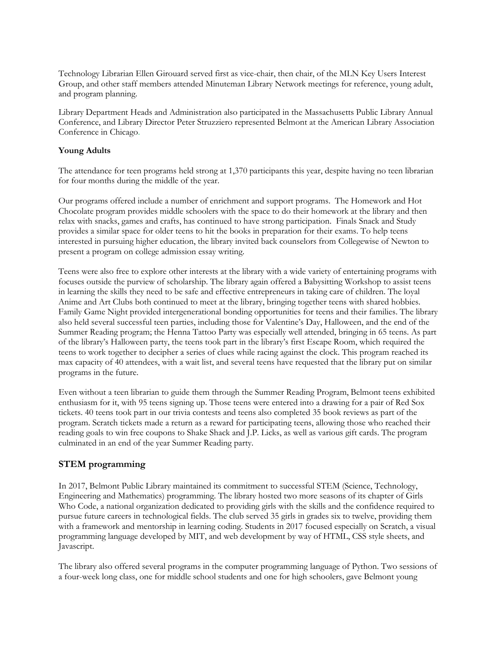Technology Librarian Ellen Girouard served first as vice-chair, then chair, of the MLN Key Users Interest Group, and other staff members attended Minuteman Library Network meetings for reference, young adult, and program planning.

Library Department Heads and Administration also participated in the Massachusetts Public Library Annual Conference, and Library Director Peter Struzziero represented Belmont at the American Library Association Conference in Chicago.

#### **Young Adults**

The attendance for teen programs held strong at 1,370 participants this year, despite having no teen librarian for four months during the middle of the year.

Our programs offered include a number of enrichment and support programs. The Homework and Hot Chocolate program provides middle schoolers with the space to do their homework at the library and then relax with snacks, games and crafts, has continued to have strong participation. Finals Snack and Study provides a similar space for older teens to hit the books in preparation for their exams. To help teens interested in pursuing higher education, the library invited back counselors from Collegewise of Newton to present a program on college admission essay writing.

Teens were also free to explore other interests at the library with a wide variety of entertaining programs with focuses outside the purview of scholarship. The library again offered a Babysitting Workshop to assist teens in learning the skills they need to be safe and effective entrepreneurs in taking care of children. The loyal Anime and Art Clubs both continued to meet at the library, bringing together teens with shared hobbies. Family Game Night provided intergenerational bonding opportunities for teens and their families. The library also held several successful teen parties, including those for Valentine's Day, Halloween, and the end of the Summer Reading program; the Henna Tattoo Party was especially well attended, bringing in 65 teens. As part of the library's Halloween party, the teens took part in the library's first Escape Room, which required the teens to work together to decipher a series of clues while racing against the clock. This program reached its max capacity of 40 attendees, with a wait list, and several teens have requested that the library put on similar programs in the future.

Even without a teen librarian to guide them through the Summer Reading Program, Belmont teens exhibited enthusiasm for it, with 95 teens signing up. Those teens were entered into a drawing for a pair of Red Sox tickets. 40 teens took part in our trivia contests and teens also completed 35 book reviews as part of the program. Scratch tickets made a return as a reward for participating teens, allowing those who reached their reading goals to win free coupons to Shake Shack and J.P. Licks, as well as various gift cards. The program culminated in an end of the year Summer Reading party.

## **STEM programming**

In 2017, Belmont Public Library maintained its commitment to successful STEM (Science, Technology, Engineering and Mathematics) programming. The library hosted two more seasons of its chapter of Girls Who Code, a national organization dedicated to providing girls with the skills and the confidence required to pursue future careers in technological fields. The club served 35 girls in grades six to twelve, providing them with a framework and mentorship in learning coding. Students in 2017 focused especially on Scratch, a visual programming language developed by MIT, and web development by way of HTML, CSS style sheets, and Javascript.

The library also offered several programs in the computer programming language of Python. Two sessions of a four-week long class, one for middle school students and one for high schoolers, gave Belmont young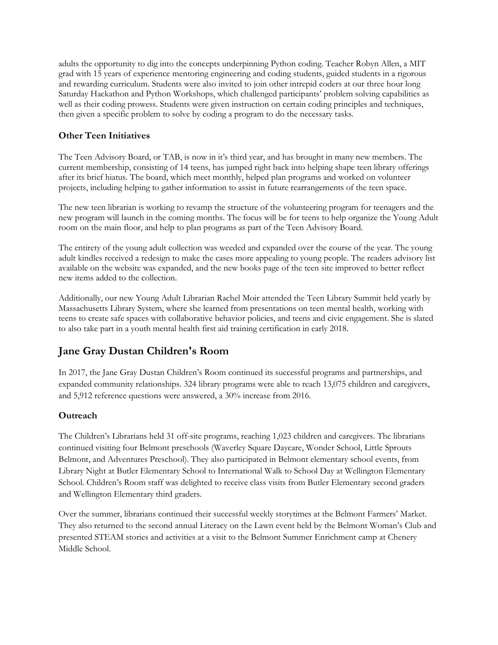adults the opportunity to dig into the concepts underpinning Python coding. Teacher Robyn Allen, a MIT grad with 15 years of experience mentoring engineering and coding students, guided students in a rigorous and rewarding curriculum. Students were also invited to join other intrepid coders at our three hour long Saturday Hackathon and Python Workshops, which challenged participants' problem solving capabilities as well as their coding prowess. Students were given instruction on certain coding principles and techniques, then given a specific problem to solve by coding a program to do the necessary tasks.

# **Other Teen Initiatives**

The Teen Advisory Board, or TAB, is now in it's third year, and has brought in many new members. The current membership, consisting of 14 teens, has jumped right back into helping shape teen library offerings after its brief hiatus. The board, which meet monthly, helped plan programs and worked on volunteer projects, including helping to gather information to assist in future rearrangements of the teen space.

The new teen librarian is working to revamp the structure of the volunteering program for teenagers and the new program will launch in the coming months. The focus will be for teens to help organize the Young Adult room on the main floor, and help to plan programs as part of the Teen Advisory Board.

The entirety of the young adult collection was weeded and expanded over the course of the year. The young adult kindles received a redesign to make the cases more appealing to young people. The readers advisory list available on the website was expanded, and the new books page of the teen site improved to better reflect new items added to the collection.

Additionally, our new Young Adult Librarian Rachel Moir attended the Teen Library Summit held yearly by Massachusetts Library System, where she learned from presentations on teen mental health, working with teens to create safe spaces with collaborative behavior policies, and teens and civic engagement. She is slated to also take part in a youth mental health first aid training certification in early 2018.

# **Jane Gray Dustan Children's Room**

In 2017, the Jane Gray Dustan Children's Room continued its successful programs and partnerships, and expanded community relationships. 324 library programs were able to reach 13,075 children and caregivers, and 5,912 reference questions were answered, a 30% increase from 2016.

## **Outreach**

The Children's Librarians held 31 off-site programs, reaching 1,023 children and caregivers. The librarians continued visiting four Belmont preschools (Waverley Square Daycare, Wonder School, Little Sprouts Belmont, and Adventures Preschool). They also participated in Belmont elementary school events, from Library Night at Butler Elementary School to International Walk to School Day at Wellington Elementary School. Children's Room staff was delighted to receive class visits from Butler Elementary second graders and Wellington Elementary third graders.

Over the summer, librarians continued their successful weekly storytimes at the Belmont Farmers' Market. They also returned to the second annual Literacy on the Lawn event held by the Belmont Woman's Club and presented STEAM stories and activities at a visit to the Belmont Summer Enrichment camp at Chenery Middle School.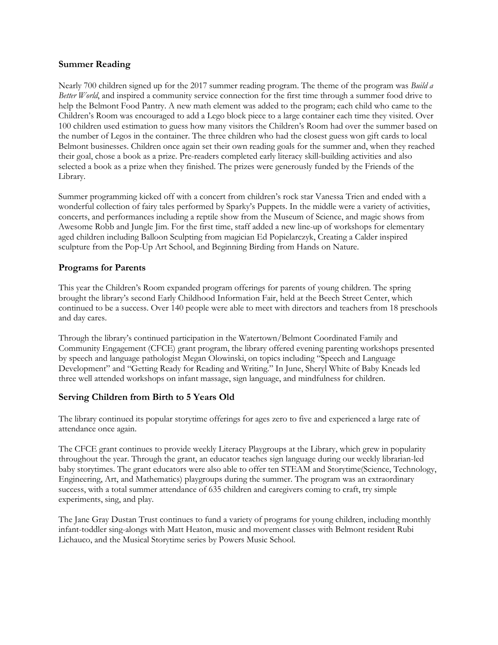#### **Summer Reading**

Nearly 700 children signed up for the 2017 summer reading program. The theme of the program was *Build a Better World*, and inspired a community service connection for the first time through a summer food drive to help the Belmont Food Pantry. A new math element was added to the program; each child who came to the Children's Room was encouraged to add a Lego block piece to a large container each time they visited. Over 100 children used estimation to guess how many visitors the Children's Room had over the summer based on the number of Legos in the container. The three children who had the closest guess won gift cards to local Belmont businesses. Children once again set their own reading goals for the summer and, when they reached their goal, chose a book as a prize. Pre-readers completed early literacy skill-building activities and also selected a book as a prize when they finished. The prizes were generously funded by the Friends of the Library.

Summer programming kicked off with a concert from children's rock star Vanessa Trien and ended with a wonderful collection of fairy tales performed by Sparky's Puppets. In the middle were a variety of activities, concerts, and performances including a reptile show from the Museum of Science, and magic shows from Awesome Robb and Jungle Jim. For the first time, staff added a new line-up of workshops for elementary aged children including Balloon Sculpting from magician Ed Popielarczyk, Creating a Calder inspired sculpture from the Pop-Up Art School, and Beginning Birding from Hands on Nature.

## **Programs for Parents**

This year the Children's Room expanded program offerings for parents of young children. The spring brought the library's second Early Childhood Information Fair, held at the Beech Street Center, which continued to be a success. Over 140 people were able to meet with directors and teachers from 18 preschools and day cares.

Through the library's continued participation in the Watertown/Belmont Coordinated Family and Community Engagement (CFCE) grant program, the library offered evening parenting workshops presented by speech and language pathologist Megan Olowinski, on topics including "Speech and Language Development" and "Getting Ready for Reading and Writing." In June, Sheryl White of Baby Kneads led three well attended workshops on infant massage, sign language, and mindfulness for children.

## **Serving Children from Birth to 5 Years Old**

The library continued its popular storytime offerings for ages zero to five and experienced a large rate of attendance once again.

The CFCE grant continues to provide weekly Literacy Playgroups at the Library, which grew in popularity throughout the year. Through the grant, an educator teaches sign language during our weekly librarian-led baby storytimes. The grant educators were also able to offer ten STEAM and Storytime(Science, Technology, Engineering, Art, and Mathematics) playgroups during the summer. The program was an extraordinary success, with a total summer attendance of 635 children and caregivers coming to craft, try simple experiments, sing, and play.

The Jane Gray Dustan Trust continues to fund a variety of programs for young children, including monthly infant-toddler sing-alongs with Matt Heaton, music and movement classes with Belmont resident Rubi Lichauco, and the Musical Storytime series by Powers Music School.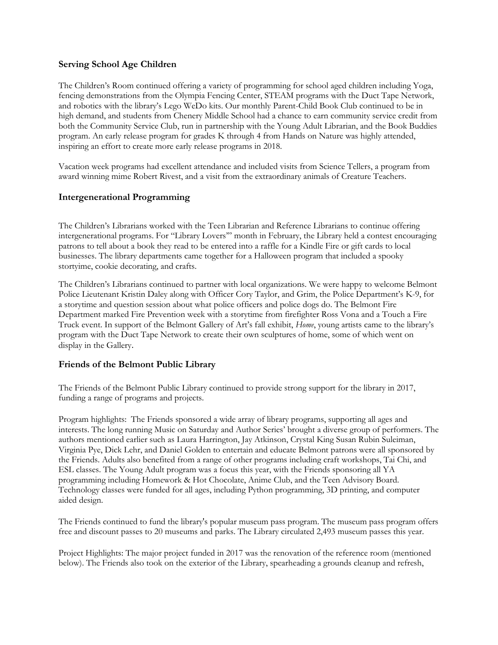#### **Serving School Age Children**

The Children's Room continued offering a variety of programming for school aged children including Yoga, fencing demonstrations from the Olympia Fencing Center, STEAM programs with the Duct Tape Network, and robotics with the library's Lego WeDo kits. Our monthly Parent-Child Book Club continued to be in high demand, and students from Chenery Middle School had a chance to earn community service credit from both the Community Service Club, run in partnership with the Young Adult Librarian, and the Book Buddies program. An early release program for grades K through 4 from Hands on Nature was highly attended, inspiring an effort to create more early release programs in 2018.

Vacation week programs had excellent attendance and included visits from Science Tellers, a program from award winning mime Robert Rivest, and a visit from the extraordinary animals of Creature Teachers.

## **Intergenerational Programming**

The Children's Librarians worked with the Teen Librarian and Reference Librarians to continue offering intergenerational programs. For "Library Lovers'" month in February, the Library held a contest encouraging patrons to tell about a book they read to be entered into a raffle for a Kindle Fire or gift cards to local businesses. The library departments came together for a Halloween program that included a spooky stortyime, cookie decorating, and crafts.

The Children's Librarians continued to partner with local organizations. We were happy to welcome Belmont Police Lieutenant Kristin Daley along with Officer Cory Taylor, and Grim, the Police Department's K-9, for a storytime and question session about what police officers and police dogs do. The Belmont Fire Department marked Fire Prevention week with a storytime from firefighter Ross Vona and a Touch a Fire Truck event. In support of the Belmont Gallery of Art's fall exhibit, *Home*, young artists came to the library's program with the Duct Tape Network to create their own sculptures of home, some of which went on display in the Gallery.

#### **Friends of the Belmont Public Library**

The Friends of the Belmont Public Library continued to provide strong support for the library in 2017, funding a range of programs and projects.

Program highlights: The Friends sponsored a wide array of library programs, supporting all ages and interests. The long running Music on Saturday and Author Series' brought a diverse group of performers. The authors mentioned earlier such as Laura Harrington, Jay Atkinson, Crystal King Susan Rubin Suleiman, Virginia Pye, Dick Lehr, and Daniel Golden to entertain and educate Belmont patrons were all sponsored by the Friends. Adults also benefited from a range of other programs including craft workshops, Tai Chi, and ESL classes. The Young Adult program was a focus this year, with the Friends sponsoring all YA programming including Homework & Hot Chocolate, Anime Club, and the Teen Advisory Board. Technology classes were funded for all ages, including Python programming, 3D printing, and computer aided design.

The Friends continued to fund the library's popular museum pass program. The museum pass program offers free and discount passes to 20 museums and parks. The Library circulated 2,493 museum passes this year.

Project Highlights: The major project funded in 2017 was the renovation of the reference room (mentioned below). The Friends also took on the exterior of the Library, spearheading a grounds cleanup and refresh,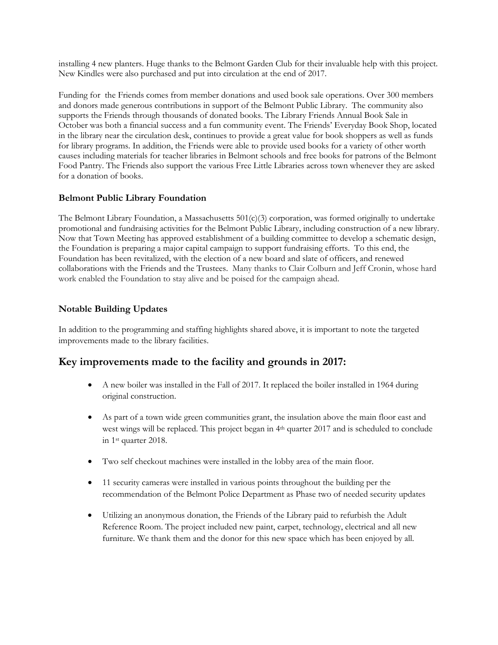installing 4 new planters. Huge thanks to the Belmont Garden Club for their invaluable help with this project. New Kindles were also purchased and put into circulation at the end of 2017.

Funding for the Friends comes from member donations and used book sale operations. Over 300 members and donors made generous contributions in support of the Belmont Public Library. The community also supports the Friends through thousands of donated books. The Library Friends Annual Book Sale in October was both a financial success and a fun community event. The Friends' Everyday Book Shop, located in the library near the circulation desk, continues to provide a great value for book shoppers as well as funds for library programs. In addition, the Friends were able to provide used books for a variety of other worth causes including materials for teacher libraries in Belmont schools and free books for patrons of the Belmont Food Pantry. The Friends also support the various Free Little Libraries across town whenever they are asked for a donation of books.

# **Belmont Public Library Foundation**

The Belmont Library Foundation, a Massachusetts 501(c)(3) corporation, was formed originally to undertake promotional and fundraising activities for the Belmont Public Library, including construction of a new library. Now that Town Meeting has approved establishment of a building committee to develop a schematic design, the Foundation is preparing a major capital campaign to support fundraising efforts. To this end, the Foundation has been revitalized, with the election of a new board and slate of officers, and renewed collaborations with the Friends and the Trustees. Many thanks to Clair Colburn and Jeff Cronin, whose hard work enabled the Foundation to stay alive and be poised for the campaign ahead.

# **Notable Building Updates**

In addition to the programming and staffing highlights shared above, it is important to note the targeted improvements made to the library facilities.

# **Key improvements made to the facility and grounds in 2017:**

- A new boiler was installed in the Fall of 2017. It replaced the boiler installed in 1964 during original construction.
- As part of a town wide green communities grant, the insulation above the main floor east and west wings will be replaced. This project began in 4th quarter 2017 and is scheduled to conclude in 1st quarter 2018.
- Two self checkout machines were installed in the lobby area of the main floor.
- 11 security cameras were installed in various points throughout the building per the recommendation of the Belmont Police Department as Phase two of needed security updates
- Utilizing an anonymous donation, the Friends of the Library paid to refurbish the Adult Reference Room. The project included new paint, carpet, technology, electrical and all new furniture. We thank them and the donor for this new space which has been enjoyed by all.